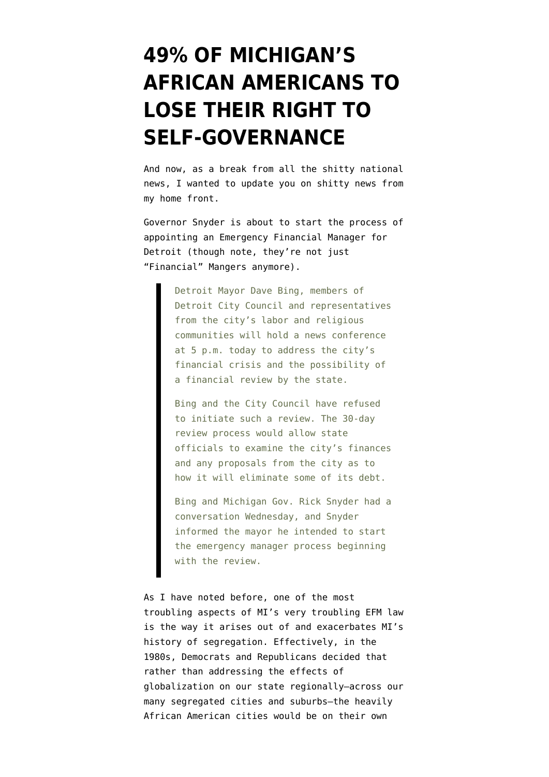## **[49% OF MICHIGAN'S](https://www.emptywheel.net/2011/12/01/49-of-michigans-african-americans-to-lose-their-right-to-self-governance/) [AFRICAN AMERICANS TO](https://www.emptywheel.net/2011/12/01/49-of-michigans-african-americans-to-lose-their-right-to-self-governance/) [LOSE THEIR RIGHT TO](https://www.emptywheel.net/2011/12/01/49-of-michigans-african-americans-to-lose-their-right-to-self-governance/) [SELF-GOVERNANCE](https://www.emptywheel.net/2011/12/01/49-of-michigans-african-americans-to-lose-their-right-to-self-governance/)**

And now, as a break from all the shitty national news, I wanted to update you on shitty news from my home front.

Governor Snyder is [about to start](http://www.freep.com/article/20111201/NEWS01/111201029/Snyder-begin-process-Detroit-financial-review) the process of appointing an Emergency Financial Manager for Detroit (though note, [they're not just](http://www.eclectablog.com/2011/12/icymi-why-michigan-gop-took-financial.html) ["Financial" Mangers anymore](http://www.eclectablog.com/2011/12/icymi-why-michigan-gop-took-financial.html)).

> Detroit Mayor Dave Bing, members of Detroit City Council and representatives from the city's labor and religious communities will hold a news conference at 5 p.m. today to address the city's financial crisis and the possibility of a financial review by the state.

> Bing and the City Council have refused to initiate such a review. The 30-day review process would allow state officials to examine the city's finances and any proposals from the city as to how it will eliminate some of its debt.

> Bing and Michigan Gov. Rick Snyder had a conversation Wednesday, and Snyder informed the mayor he intended to start the emergency manager process beginning with the review.

As I have [noted before](http://www.emptywheel.net/2011/04/16/under-new-emergency-financial-manager-law-they-start-dissolving-governments-in-michigan/), one of the most troubling aspects of MI's very troubling EFM law is the way it arises out of and exacerbates MI's history of segregation. Effectively, in the 1980s, Democrats and Republicans decided that rather than addressing the effects of globalization on our state regionally–across our many segregated cities and suburbs–the heavily African American cities would be on their own